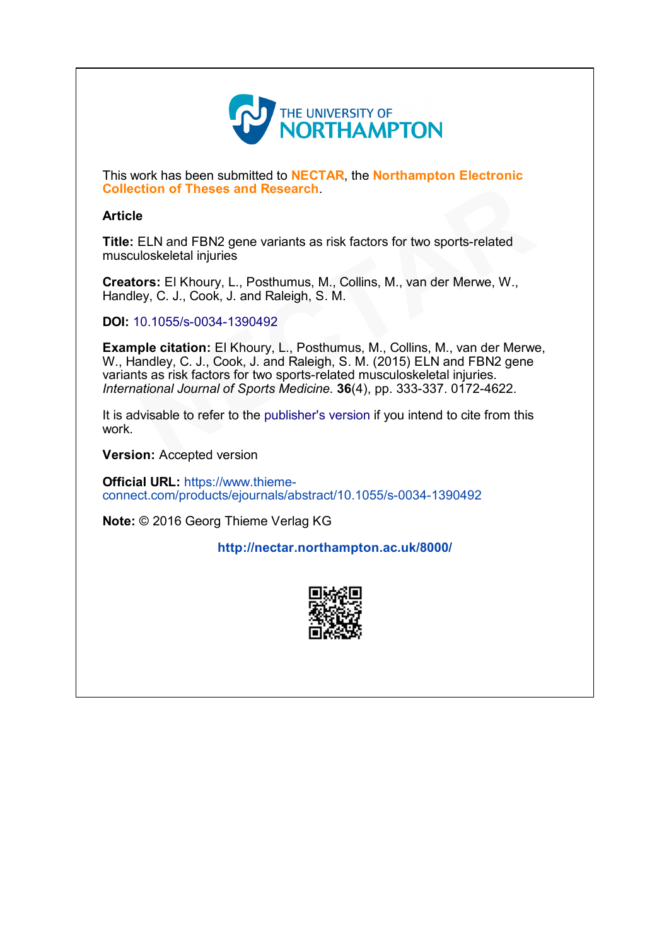

This work has been submitted to **NECTAR**, the **Northampton Electronic** Collection of Theses and Research.

# Article

Title: ELN and FBN2 gene variants as risk factors for two sports-related musculoskeletal injuries

Creators: El Khoury, L., Posthumus, M., Collins, M., van der Merwe, W., Handley, C. J., Cook, J. and Raleigh, S. M.

DOI: 10.1055/s-0034-1390492

Example citation: El Khoury, L., Posthumus, M., Collins, M., van der Merwe, W., Handley, C. J., Cook, J. and Raleigh, S. M. (2015) ELN and FBN2 gene variants as risk factors for two sports-related musculoskeletal injuries. International Journal of Sports Medicine. 36(4), pp. 333-337. 0172-4622. **ction of Theses and Research.**<br>
LELN and FBN2 gene variants as risk factors for two sports-related<br>
uloskeletal injuries<br> **ors:** El Khoury, L., Posthumus, M., Collins, M., van der Merwe, W.,<br>
ley, C. J., Cook, J. and Rale

It is advisable to refer to the publisher's version if you intend to cite from this work.

Version: Accepted version

Official URL: https://www.thiemeconnect.com/products/ejournals/abstract/10.1055/s-0034-1390492

Note: © 2016 Georg Thieme Verlag KG

# <http://nectar.northampton.ac.uk/8000/>

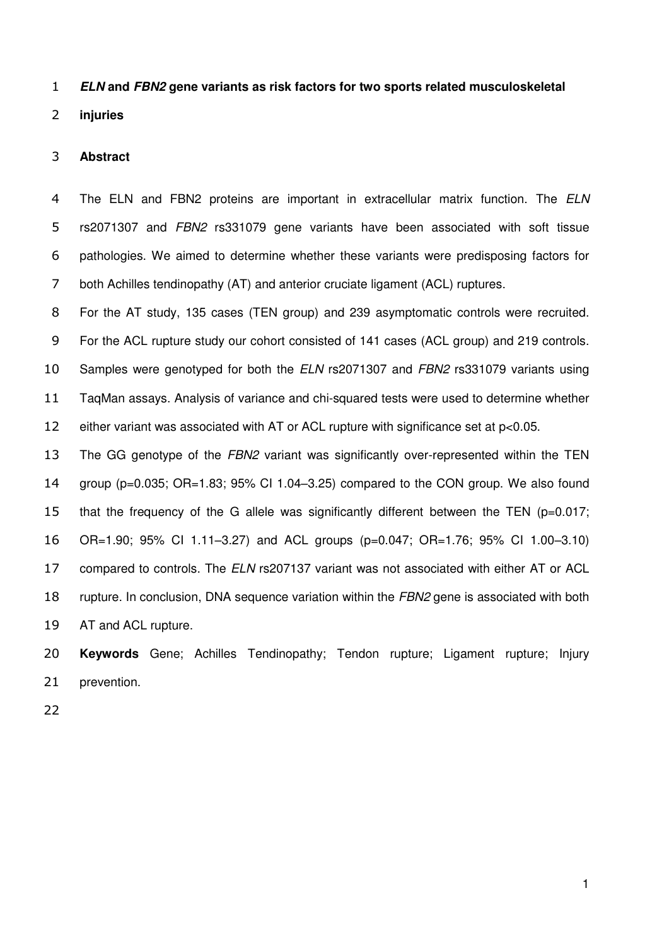### *ELN* **and** *FBN2* **gene variants as risk factors for two sports related musculoskeletal**

**injuries** 

## **Abstract**

The ELN and FBN2 proteins are important in extracellular matrix function. The *ELN* rs2071307 and *FBN2* rs331079 gene variants have been associated with soft tissue pathologies. We aimed to determine whether these variants were predisposing factors for both Achilles tendinopathy (AT) and anterior cruciate ligament (ACL) ruptures.

For the AT study, 135 cases (TEN group) and 239 asymptomatic controls were recruited. For the ACL rupture study our cohort consisted of 141 cases (ACL group) and 219 controls. Samples were genotyped for both the *ELN* rs2071307 and *FBN2* rs331079 variants using TaqMan assays. Analysis of variance and chi-squared tests were used to determine whether either variant was associated with AT or ACL rupture with significance set at p<0.05.

 The GG genotype of the *FBN2* variant was significantly over-represented within the TEN group (p=0.035; OR=1.83; 95% CI 1.04–3.25) compared to the CON group. We also found that the frequency of the G allele was significantly different between the TEN (p=0.017; OR=1.90; 95% CI 1.11–3.27) and ACL groups (p=0.047; OR=1.76; 95% CI 1.00–3.10) compared to controls. The *ELN* rs207137 variant was not associated with either AT or ACL rupture. In conclusion, DNA sequence variation within the *FBN2* gene is associated with both AT and ACL rupture.

 **Keywords** Gene; Achilles Tendinopathy; Tendon rupture; Ligament rupture; Injury prevention.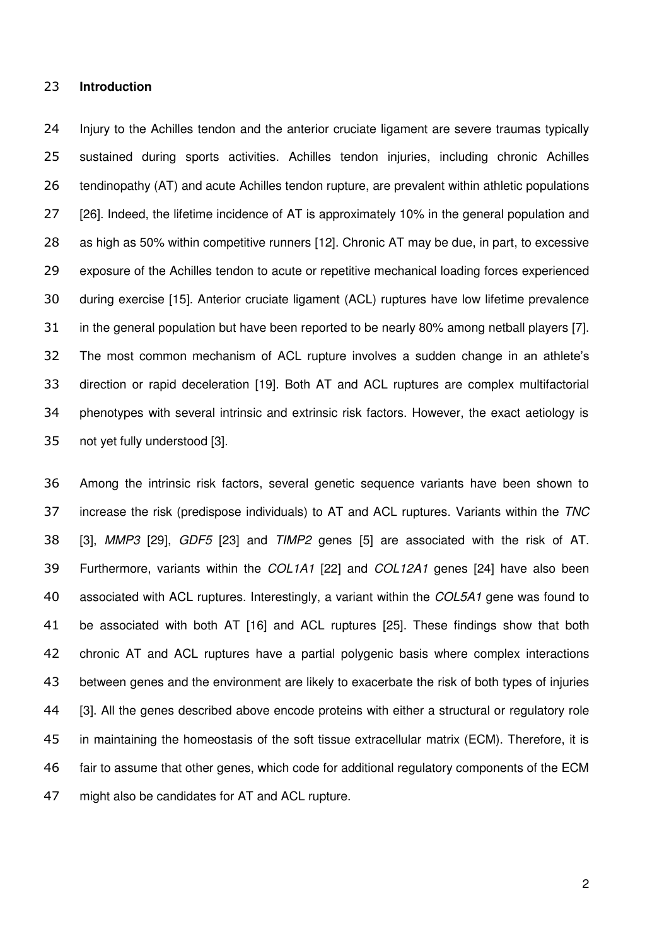#### **Introduction**

 Injury to the Achilles tendon and the anterior cruciate ligament are severe traumas typically sustained during sports activities. Achilles tendon injuries, including chronic Achilles 26 tendinopathy (AT) and acute Achilles tendon rupture, are prevalent within athletic populations 27 [26]. Indeed, the lifetime incidence of AT is approximately 10% in the general population and as high as 50% within competitive runners [12]. Chronic AT may be due, in part, to excessive exposure of the Achilles tendon to acute or repetitive mechanical loading forces experienced during exercise [15]. Anterior cruciate ligament (ACL) ruptures have low lifetime prevalence in the general population but have been reported to be nearly 80% among netball players [7]. The most common mechanism of ACL rupture involves a sudden change in an athlete's direction or rapid deceleration [19]. Both AT and ACL ruptures are complex multifactorial phenotypes with several intrinsic and extrinsic risk factors. However, the exact aetiology is not yet fully understood [3].

 Among the intrinsic risk factors, several genetic sequence variants have been shown to increase the risk (predispose individuals) to AT and ACL ruptures. Variants within the *TNC*  [3], *MMP3* [29], *GDF5* [23] and *TIMP2* genes [5] are associated with the risk of AT. Furthermore, variants within the *COL1A1* [22] and *COL12A1* genes [24] have also been associated with ACL ruptures. Interestingly, a variant within the *COL5A1* gene was found to be associated with both AT [16] and ACL ruptures [25]. These findings show that both chronic AT and ACL ruptures have a partial polygenic basis where complex interactions between genes and the environment are likely to exacerbate the risk of both types of injuries [3]. All the genes described above encode proteins with either a structural or regulatory role in maintaining the homeostasis of the soft tissue extracellular matrix (ECM). Therefore, it is fair to assume that other genes, which code for additional regulatory components of the ECM might also be candidates for AT and ACL rupture.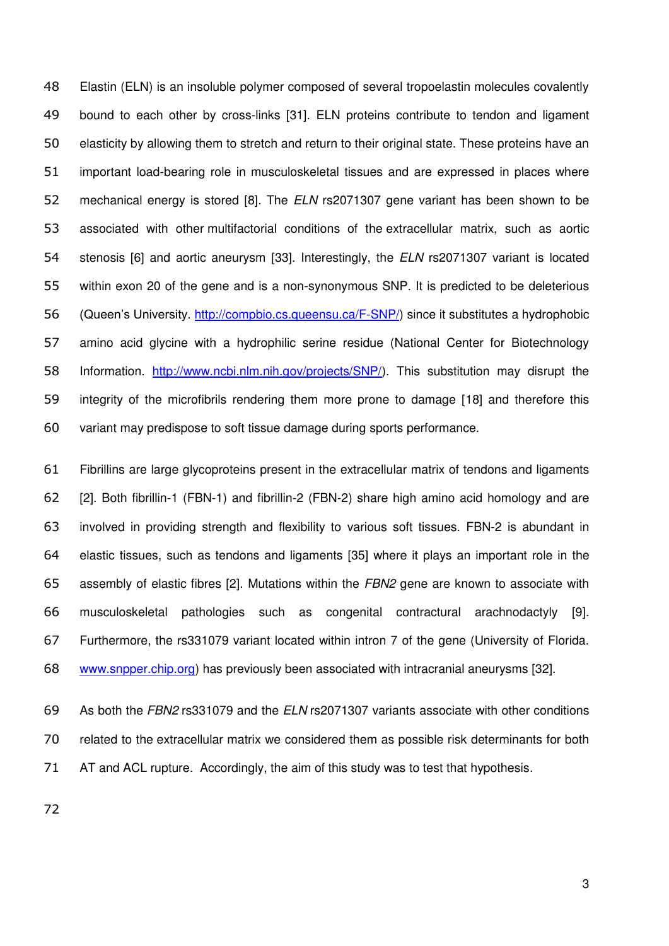Elastin (ELN) is an insoluble polymer composed of several tropoelastin molecules covalently bound to each other by cross-links [31]. ELN proteins contribute to tendon and ligament elasticity by allowing them to stretch and return to their original state. These proteins have an important load-bearing role in musculoskeletal tissues and are expressed in places where mechanical energy is stored [8]. The *ELN* rs2071307 gene variant has been shown to be associated with other multifactorial conditions of the extracellular matrix, such as aortic stenosis [6] and aortic aneurysm [33]. Interestingly, the *ELN* rs2071307 variant is located within exon 20 of the gene and is a non-synonymous SNP. It is predicted to be deleterious (Queen's University. [http://compbio.cs.queensu.ca/F-SNP/\)](http://compbio.cs.queensu.ca/F-SNP/) since it substitutes a hydrophobic amino acid glycine with a hydrophilic serine residue (National Center for Biotechnology Information. [http://www.ncbi.nlm.nih.gov/projects/SNP/\)](http://www.ncbi.nlm.nih.gov/projects/SNP/). This substitution may disrupt the integrity of the microfibrils rendering them more prone to damage [18] and therefore this variant may predispose to soft tissue damage during sports performance.

 Fibrillins are large glycoproteins present in the extracellular matrix of tendons and ligaments [2]. Both fibrillin-1 (FBN-1) and fibrillin-2 (FBN-2) share high amino acid homology and are involved in providing strength and flexibility to various soft tissues. FBN-2 is abundant in elastic tissues, such as tendons and ligaments [35] where it plays an important role in the assembly of elastic fibres [2]. Mutations within the *FBN2* gene are known to associate with musculoskeletal pathologies such as congenital contractural arachnodactyly [9]. Furthermore, the rs331079 variant located within intron 7 of the gene (University of Florida. [www.snpper.chip.org\)](http://www.snpper.chip.org/) has previously been associated with intracranial aneurysms [32].

 As both the *FBN2* rs331079 and the *ELN* rs2071307 variants associate with other conditions related to the extracellular matrix we considered them as possible risk determinants for both AT and ACL rupture. Accordingly, the aim of this study was to test that hypothesis.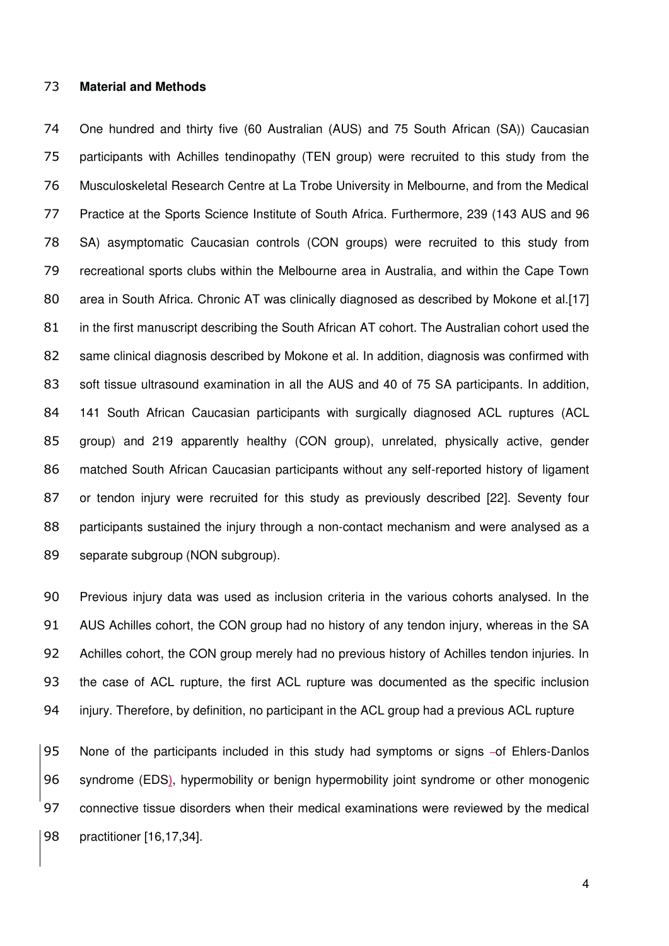#### **Material and Methods**

 One hundred and thirty five (60 Australian (AUS) and 75 South African (SA)) Caucasian participants with Achilles tendinopathy (TEN group) were recruited to this study from the Musculoskeletal Research Centre at La Trobe University in Melbourne, and from the Medical Practice at the Sports Science Institute of South Africa. Furthermore, 239 (143 AUS and 96 SA) asymptomatic Caucasian controls (CON groups) were recruited to this study from recreational sports clubs within the Melbourne area in Australia, and within the Cape Town 80 area in South Africa. Chronic AT was clinically diagnosed as described by Mokone et al.[17] in the first manuscript describing the South African AT cohort. The Australian cohort used the same clinical diagnosis described by Mokone et al. In addition, diagnosis was confirmed with 83 soft tissue ultrasound examination in all the AUS and 40 of 75 SA participants. In addition, 141 South African Caucasian participants with surgically diagnosed ACL ruptures (ACL group) and 219 apparently healthy (CON group), unrelated, physically active, gender matched South African Caucasian participants without any self-reported history of ligament or tendon injury were recruited for this study as previously described [22]. Seventy four participants sustained the injury through a non-contact mechanism and were analysed as a separate subgroup (NON subgroup).

 Previous injury data was used as inclusion criteria in the various cohorts analysed. In the AUS Achilles cohort, the CON group had no history of any tendon injury, whereas in the SA Achilles cohort, the CON group merely had no previous history of Achilles tendon injuries. In the case of ACL rupture, the first ACL rupture was documented as the specific inclusion injury. Therefore, by definition, no participant in the ACL group had a previous ACL rupture

95 None of the participants included in this study had symptoms or signs -of Ehlers-Danlos syndrome (EDS), hypermobility or benign hypermobility joint syndrome or other monogenic connective tissue disorders when their medical examinations were reviewed by the medical practitioner [16,17,34].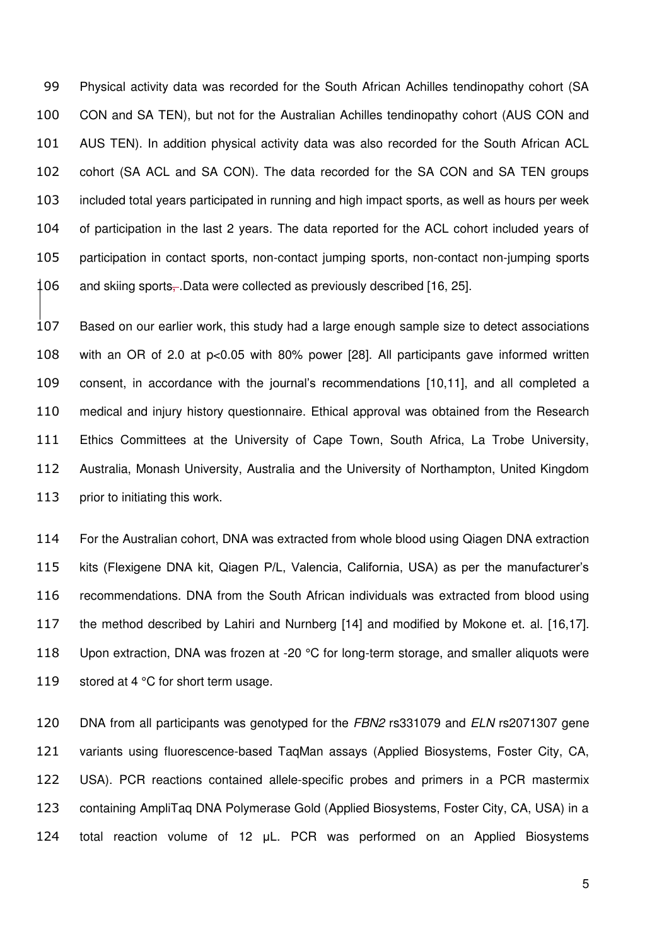Physical activity data was recorded for the South African Achilles tendinopathy cohort (SA CON and SA TEN), but not for the Australian Achilles tendinopathy cohort (AUS CON and AUS TEN). In addition physical activity data was also recorded for the South African ACL cohort (SA ACL and SA CON). The data recorded for the SA CON and SA TEN groups included total years participated in running and high impact sports, as well as hours per week of participation in the last 2 years. The data reported for the ACL cohort included years of participation in contact sports, non-contact jumping sports, non-contact non-jumping sports and skiing sports–Data were collected as previously described [16, 25].

 Based on our earlier work, this study had a large enough sample size to detect associations with an OR of 2.0 at p<0.05 with 80% power [28]. All participants gave informed written consent, in accordance with the journal's recommendations [10,11], and all completed a medical and injury history questionnaire. Ethical approval was obtained from the Research Ethics Committees at the University of Cape Town, South Africa, La Trobe University, Australia, Monash University, Australia and the University of Northampton, United Kingdom 113 prior to initiating this work.

 For the Australian cohort, DNA was extracted from whole blood using Qiagen DNA extraction kits (Flexigene DNA kit, Qiagen P/L, Valencia, California, USA) as per the manufacturer's recommendations. DNA from the South African individuals was extracted from blood using the method described by Lahiri and Nurnberg [14] and modified by Mokone et. al. [16,17]. 118 Upon extraction, DNA was frozen at -20 °C for long-term storage, and smaller aliquots were 119 stored at 4 °C for short term usage.

 DNA from all participants was genotyped for the *FBN2* rs331079 and *ELN* rs2071307 gene variants using fluorescence-based TaqMan assays (Applied Biosystems, Foster City, CA, USA). PCR reactions contained allele-specific probes and primers in a PCR mastermix containing AmpliTaq DNA Polymerase Gold (Applied Biosystems, Foster City, CA, USA) in a total reaction volume of 12 μL. PCR was performed on an Applied Biosystems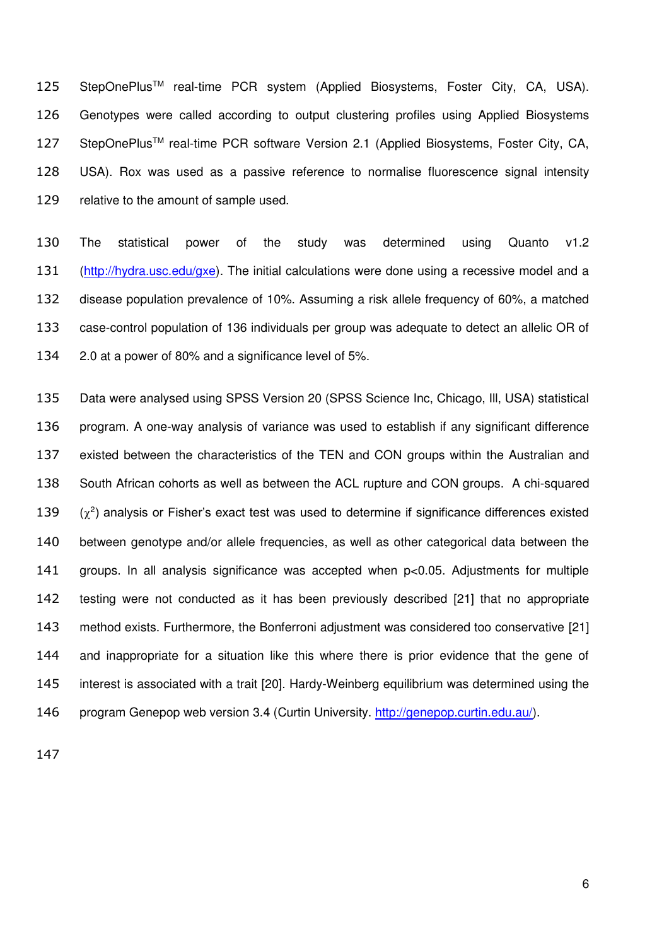125 StepOnePlus<sup>™</sup> real-time PCR system (Applied Biosystems, Foster City, CA, USA). Genotypes were called according to output clustering profiles using Applied Biosystems 127 StepOnePlus<sup>™</sup> real-time PCR software Version 2.1 (Applied Biosystems, Foster City, CA, USA). Rox was used as a passive reference to normalise fluorescence signal intensity relative to the amount of sample used.

 The statistical power of the study was determined using Quanto v1.2 [\(http://hydra.usc.edu/gxe\)](http://hydra.usc.edu/gxe). The initial calculations were done using a recessive model and a disease population prevalence of 10%. Assuming a risk allele frequency of 60%, a matched case-control population of 136 individuals per group was adequate to detect an allelic OR of 2.0 at a power of 80% and a significance level of 5%.

 Data were analysed using SPSS Version 20 (SPSS Science Inc, Chicago, Ill, USA) statistical program. A one-way analysis of variance was used to establish if any significant difference existed between the characteristics of the TEN and CON groups within the Australian and South African cohorts as well as between the ACL rupture and CON groups. A chi-squared  $(\chi^2)$  analysis or Fisher's exact test was used to determine if significance differences existed between genotype and/or allele frequencies, as well as other categorical data between the groups. In all analysis significance was accepted when p<0.05. Adjustments for multiple testing were not conducted as it has been previously described [21] that no appropriate method exists. Furthermore, the Bonferroni adjustment was considered too conservative [21] and inappropriate for a situation like this where there is prior evidence that the gene of interest is associated with a trait [20]. Hardy-Weinberg equilibrium was determined using the program Genepop web version 3.4 (Curtin University. [http://genepop.curtin.edu.au/\)](http://genepop.curtin.edu.au/).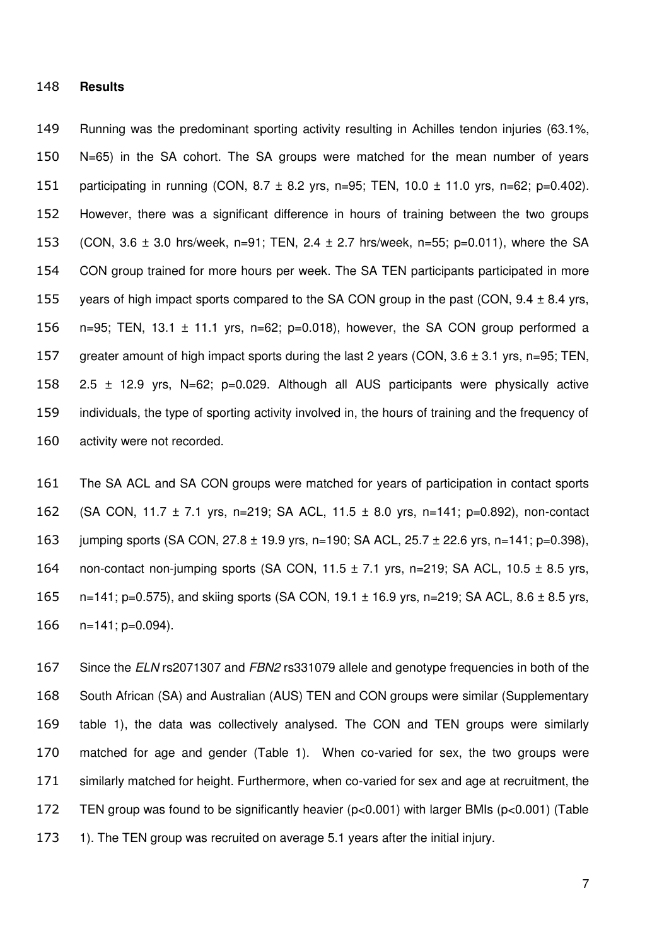#### **Results**

 Running was the predominant sporting activity resulting in Achilles tendon injuries (63.1%, N=65) in the SA cohort. The SA groups were matched for the mean number of years 151 participating in running (CON,  $8.7 \pm 8.2$  yrs, n=95; TEN, 10.0  $\pm$  11.0 yrs, n=62; p=0.402). However, there was a significant difference in hours of training between the two groups (CON, 3.6 ± 3.0 hrs/week, n=91; TEN, 2.4 ± 2.7 hrs/week, n=55; p=0.011), where the SA CON group trained for more hours per week. The SA TEN participants participated in more 155 years of high impact sports compared to the SA CON group in the past (CON,  $9.4 \pm 8.4$  yrs, 156 n=95; TEN, 13.1  $\pm$  11.1 yrs, n=62; p=0.018), however, the SA CON group performed a greater amount of high impact sports during the last 2 years (CON, 3.6 ± 3.1 yrs, n=95; TEN, 2.5 ± 12.9 yrs, N=62; p=0.029. Although all AUS participants were physically active individuals, the type of sporting activity involved in, the hours of training and the frequency of activity were not recorded.

 The SA ACL and SA CON groups were matched for years of participation in contact sports (SA CON, 11.7 ± 7.1 yrs, n=219; SA ACL, 11.5 ± 8.0 yrs, n=141; p=0.892), non-contact 163 jumping sports (SA CON, 27.8 ± 19.9 yrs, n=190; SA ACL, 25.7 ± 22.6 yrs, n=141; p=0.398), 164 non-contact non-jumping sports (SA CON,  $11.5 \pm 7.1$  yrs, n=219; SA ACL,  $10.5 \pm 8.5$  yrs,  $n=141$ ; p=0.575), and skiing sports (SA CON, 19.1  $\pm$  16.9 yrs, n=219; SA ACL, 8.6  $\pm$  8.5 yrs, n=141; p=0.094).

 Since the *ELN* rs2071307 and *FBN2* rs331079 allele and genotype frequencies in both of the South African (SA) and Australian (AUS) TEN and CON groups were similar (Supplementary table 1), the data was collectively analysed. The CON and TEN groups were similarly matched for age and gender (Table 1). When co-varied for sex, the two groups were similarly matched for height. Furthermore, when co-varied for sex and age at recruitment, the TEN group was found to be significantly heavier (p<0.001) with larger BMIs (p<0.001) (Table 1). The TEN group was recruited on average 5.1 years after the initial injury.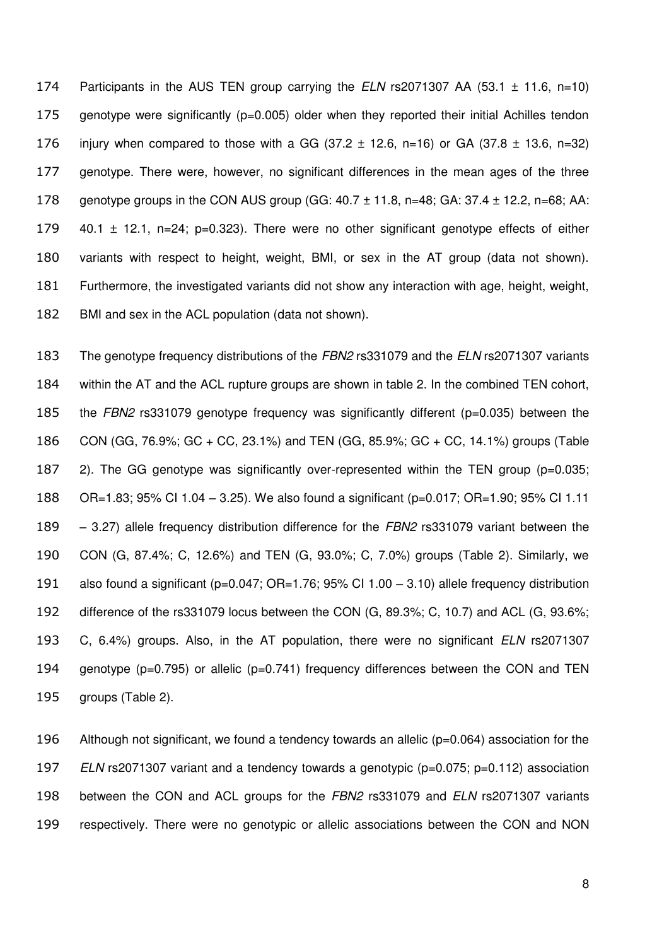Participants in the AUS TEN group carrying the *ELN* rs2071307 AA (53.1 ± 11.6, n=10) genotype were significantly (p=0.005) older when they reported their initial Achilles tendon 176 injury when compared to those with a GG (37.2  $\pm$  12.6, n=16) or GA (37.8  $\pm$  13.6, n=32) genotype. There were, however, no significant differences in the mean ages of the three 178 genotype groups in the CON AUS group (GG:  $40.7 \pm 11.8$ , n=48; GA:  $37.4 \pm 12.2$ , n=68; AA:  $\pm$  40.1  $\pm$  12.1, n=24; p=0.323). There were no other significant genotype effects of either variants with respect to height, weight, BMI, or sex in the AT group (data not shown). Furthermore, the investigated variants did not show any interaction with age, height, weight, BMI and sex in the ACL population (data not shown).

 The genotype frequency distributions of the *FBN2* rs331079 and the *ELN* rs2071307 variants within the AT and the ACL rupture groups are shown in table 2. In the combined TEN cohort, the *FBN2* rs331079 genotype frequency was significantly different (p=0.035) between the CON (GG, 76.9%; GC + CC, 23.1%) and TEN (GG, 85.9%; GC + CC, 14.1%) groups (Table 2). The GG genotype was significantly over-represented within the TEN group (p=0.035; OR=1.83; 95% CI 1.04 – 3.25). We also found a significant (p=0.017; OR=1.90; 95% CI 1.11 – 3.27) allele frequency distribution difference for the *FBN2* rs331079 variant between the CON (G, 87.4%; C, 12.6%) and TEN (G, 93.0%; C, 7.0%) groups (Table 2). Similarly, we also found a significant (p=0.047; OR=1.76; 95% CI 1.00 – 3.10) allele frequency distribution difference of the rs331079 locus between the CON (G, 89.3%; C, 10.7) and ACL (G, 93.6%; C, 6.4%) groups. Also, in the AT population, there were no significant *ELN* rs2071307 genotype (p=0.795) or allelic (p=0.741) frequency differences between the CON and TEN groups (Table 2).

 Although not significant, we found a tendency towards an allelic (p=0.064) association for the *ELN* rs2071307 variant and a tendency towards a genotypic (p=0.075; p=0.112) association between the CON and ACL groups for the *FBN2* rs331079 and *ELN* rs2071307 variants respectively. There were no genotypic or allelic associations between the CON and NON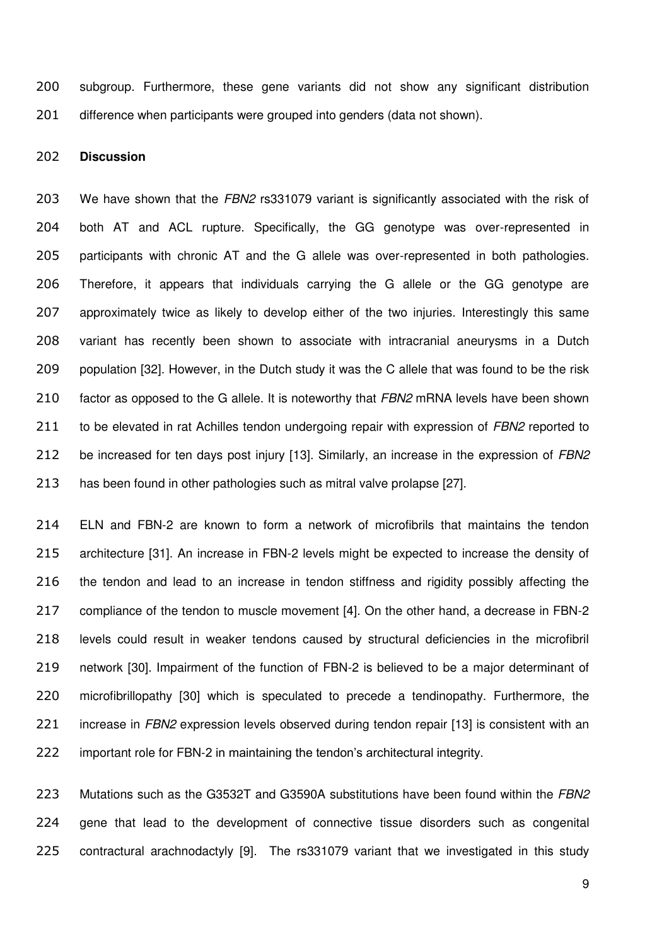subgroup. Furthermore, these gene variants did not show any significant distribution difference when participants were grouped into genders (data not shown).

### **Discussion**

 We have shown that the *FBN2* rs331079 variant is significantly associated with the risk of both AT and ACL rupture. Specifically, the GG genotype was over-represented in participants with chronic AT and the G allele was over-represented in both pathologies. Therefore, it appears that individuals carrying the G allele or the GG genotype are approximately twice as likely to develop either of the two injuries. Interestingly this same variant has recently been shown to associate with intracranial aneurysms in a Dutch population [32]. However, in the Dutch study it was the C allele that was found to be the risk factor as opposed to the G allele. It is noteworthy that *FBN2* mRNA levels have been shown to be elevated in rat Achilles tendon undergoing repair with expression of *FBN2* reported to be increased for ten days post injury [13]. Similarly, an increase in the expression of *FBN2* has been found in other pathologies such as mitral valve prolapse [27].

 ELN and FBN-2 are known to form a network of microfibrils that maintains the tendon architecture [31]. An increase in FBN-2 levels might be expected to increase the density of 216 the tendon and lead to an increase in tendon stiffness and rigidity possibly affecting the compliance of the tendon to muscle movement [4]. On the other hand, a decrease in FBN-2 levels could result in weaker tendons caused by structural deficiencies in the microfibril network [30]. Impairment of the function of FBN-2 is believed to be a major determinant of microfibrillopathy [30] which is speculated to precede a tendinopathy. Furthermore, the increase in *FBN2* expression levels observed during tendon repair [13] is consistent with an important role for FBN-2 in maintaining the tendon's architectural integrity.

 Mutations such as the G3532T and G3590A substitutions have been found within the *FBN2* gene that lead to the development of connective tissue disorders such as congenital contractural arachnodactyly [9]. The rs331079 variant that we investigated in this study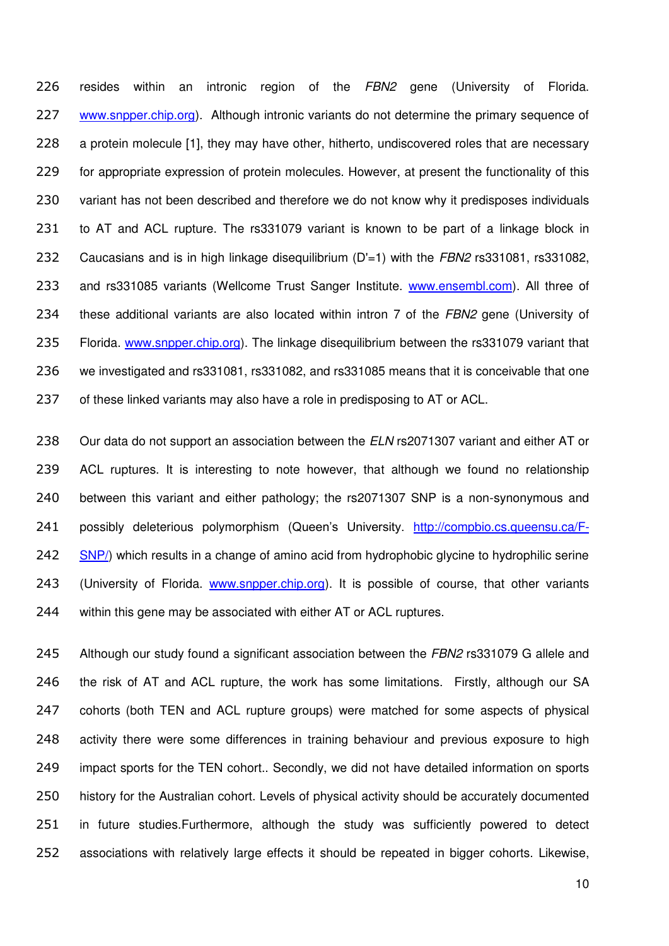resides within an intronic region of the *FBN2* gene (University of Florida. [www.snpper.chip.org\)](http://www.snpper.chip.org/). Although intronic variants do not determine the primary sequence of 228 a protein molecule [1], they may have other, hitherto, undiscovered roles that are necessary for appropriate expression of protein molecules. However, at present the functionality of this 230 variant has not been described and therefore we do not know why it predisposes individuals to AT and ACL rupture. The rs331079 variant is known to be part of a linkage block in Caucasians and is in high linkage disequilibrium (D'=1) with the *FBN2* rs331081, rs331082, and rs331085 variants (Wellcome Trust Sanger Institute. [www.ensembl.com\)](http://www.ensembl.com/). All three of these additional variants are also located within intron 7 of the *FBN2* gene (University of Florida. [www.snpper.chip.org\)](http://www.snpper.chip.org/). The linkage disequilibrium between the rs331079 variant that we investigated and rs331081, rs331082, and rs331085 means that it is conceivable that one 237 of these linked variants may also have a role in predisposing to AT or ACL.

 Our data do not support an association between the *ELN* rs2071307 variant and either AT or ACL ruptures. It is interesting to note however, that although we found no relationship between this variant and either pathology; the rs2071307 SNP is a non-synonymous and 241 possibly deleterious polymorphism (Queen's University. [http://compbio.cs.queensu.ca/F-](http://compbio.cs.queensu.ca/F-SNP/)[SNP/\)](http://compbio.cs.queensu.ca/F-SNP/) which results in a change of amino acid from hydrophobic glycine to hydrophilic serine 243 (University of Florida. [www.snpper.chip.org\)](http://www.snpper.chip.org/). It is possible of course, that other variants within this gene may be associated with either AT or ACL ruptures.

 Although our study found a significant association between the *FBN2* rs331079 G allele and 246 the risk of AT and ACL rupture, the work has some limitations. Firstly, although our SA cohorts (both TEN and ACL rupture groups) were matched for some aspects of physical activity there were some differences in training behaviour and previous exposure to high impact sports for the TEN cohort.. Secondly, we did not have detailed information on sports history for the Australian cohort. Levels of physical activity should be accurately documented in future studies.Furthermore, although the study was sufficiently powered to detect associations with relatively large effects it should be repeated in bigger cohorts. Likewise,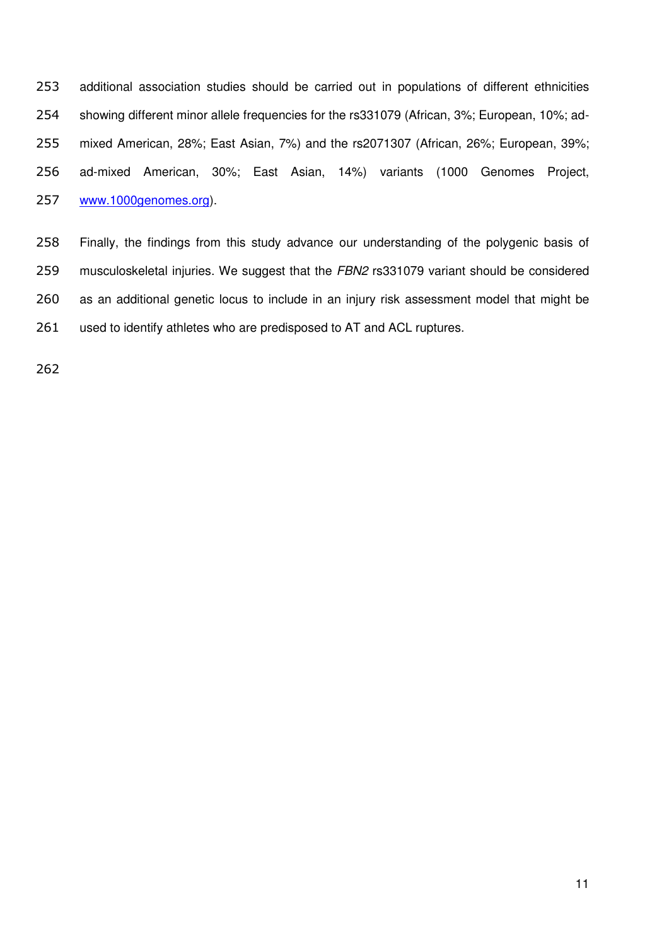additional association studies should be carried out in populations of different ethnicities showing different minor allele frequencies for the rs331079 (African, 3%; European, 10%; ad- mixed American, 28%; East Asian, 7%) and the rs2071307 (African, 26%; European, 39%; ad-mixed American, 30%; East Asian, 14%) variants (1000 Genomes Project, [www.1000genomes.org\)](http://www.1000genomes.org/).

 Finally, the findings from this study advance our understanding of the polygenic basis of musculoskeletal injuries. We suggest that the *FBN2* rs331079 variant should be considered as an additional genetic locus to include in an injury risk assessment model that might be used to identify athletes who are predisposed to AT and ACL ruptures.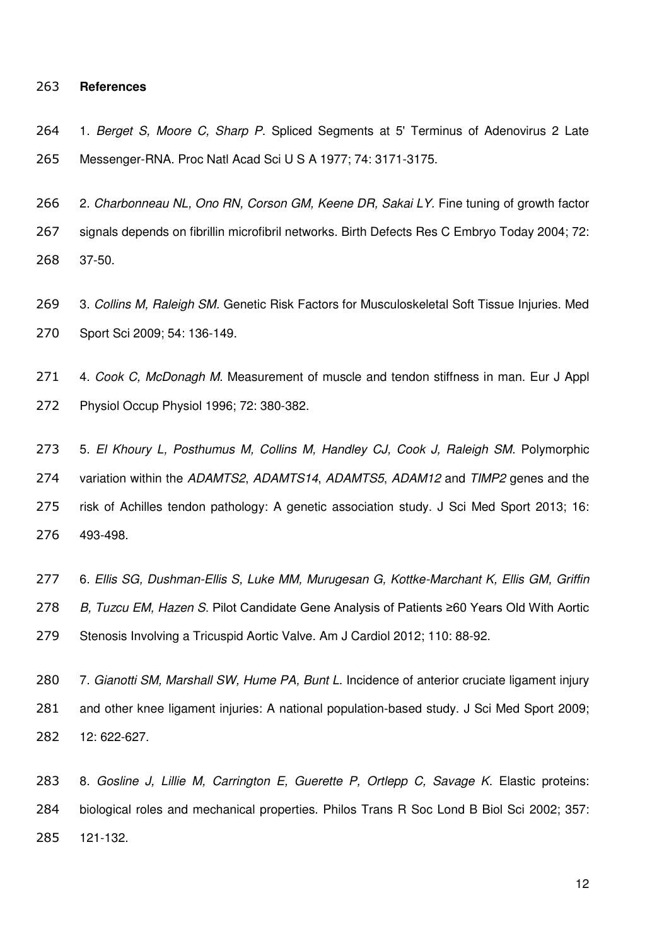#### **References**

 1. *Berget S, Moore C, Sharp P*. Spliced Segments at 5' Terminus of Adenovirus 2 Late Messenger-RNA. Proc Natl Acad Sci U S A 1977; 74: 3171-3175.

 2. *Charbonneau NL, Ono RN, Corson GM, Keene DR, Sakai LY.* Fine tuning of growth factor signals depends on fibrillin microfibril networks. Birth Defects Res C Embryo Today 2004; 72: 37-50.

 3. *Collins M, Raleigh SM.* Genetic Risk Factors for Musculoskeletal Soft Tissue Injuries. Med Sport Sci 2009; 54: 136-149.

 4. *Cook C, McDonagh M.* Measurement of muscle and tendon stiffness in man. Eur J Appl Physiol Occup Physiol 1996; 72: 380-382.

 5. *El Khoury L, Posthumus M, Collins M, Handley CJ, Cook J, Raleigh SM*. Polymorphic variation within the *ADAMTS2*, *ADAMTS14*, *ADAMTS5*, *ADAM12* and *TIMP2* genes and the risk of Achilles tendon pathology: A genetic association study. J Sci Med Sport 2013; 16: 493-498.

 6. *Ellis SG, Dushman-Ellis S, Luke MM, Murugesan G, Kottke-Marchant K, Ellis GM, Griffin B, Tuzcu EM, Hazen S*. Pilot Candidate Gene Analysis of Patients ≥60 Years Old With Aortic Stenosis Involving a Tricuspid Aortic Valve. Am J Cardiol 2012; 110: 88-92.

 7. *Gianotti SM, Marshall SW, Hume PA, Bunt L.* Incidence of anterior cruciate ligament injury and other knee ligament injuries: A national population-based study. J Sci Med Sport 2009; 12: 622-627.

 8. *Gosline J, Lillie M, Carrington E, Guerette P, Ortlepp C, Savage K*. Elastic proteins: biological roles and mechanical properties. Philos Trans R Soc Lond B Biol Sci 2002; 357: 121-132.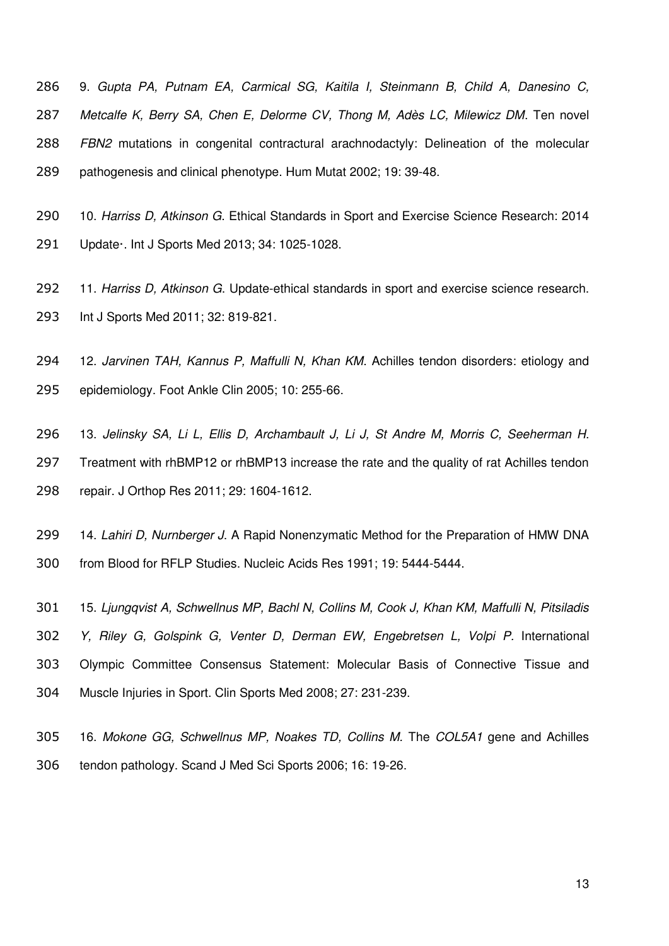9. *Gupta PA, Putnam EA, Carmical SG, Kaitila I, Steinmann B, Child A, Danesino C, Metcalfe K, Berry SA, Chen E, Delorme CV, Thong M, Adès LC, Milewicz DM*. Ten novel *FBN2* mutations in congenital contractural arachnodactyly: Delineation of the molecular pathogenesis and clinical phenotype. Hum Mutat 2002; 19: 39-48.

 10. *Harriss D, Atkinson G*. Ethical Standards in Sport and Exercise Science Research: 2014 Update·. Int J Sports Med 2013; 34: 1025-1028.

 11. *Harriss D, Atkinson G*. Update-ethical standards in sport and exercise science research. Int J Sports Med 2011; 32: 819-821.

 12. *Jarvinen TAH, Kannus P, Maffulli N, Khan KM*. Achilles tendon disorders: etiology and epidemiology. Foot Ankle Clin 2005; 10: 255-66.

 13. *Jelinsky SA, Li L, Ellis D, Archambault J, Li J, St Andre M, Morris C, Seeherman H*. Treatment with rhBMP12 or rhBMP13 increase the rate and the quality of rat Achilles tendon repair. J Orthop Res 2011; 29: 1604-1612.

 14. *Lahiri D, Nurnberger J*. A Rapid Nonenzymatic Method for the Preparation of HMW DNA from Blood for RFLP Studies. Nucleic Acids Res 1991; 19: 5444-5444.

 15. *Ljungqvist A, Schwellnus MP, Bachl N, Collins M, Cook J, Khan KM, Maffulli N, Pitsiladis Y, Riley G, Golspink G, Venter D, Derman EW, Engebretsen L, Volpi P.* International Olympic Committee Consensus Statement: Molecular Basis of Connective Tissue and Muscle Injuries in Sport. Clin Sports Med 2008; 27: 231-239.

 16. *Mokone GG, Schwellnus MP, Noakes TD, Collins M.* The *COL5A1* gene and Achilles tendon pathology. Scand J Med Sci Sports 2006; 16: 19-26.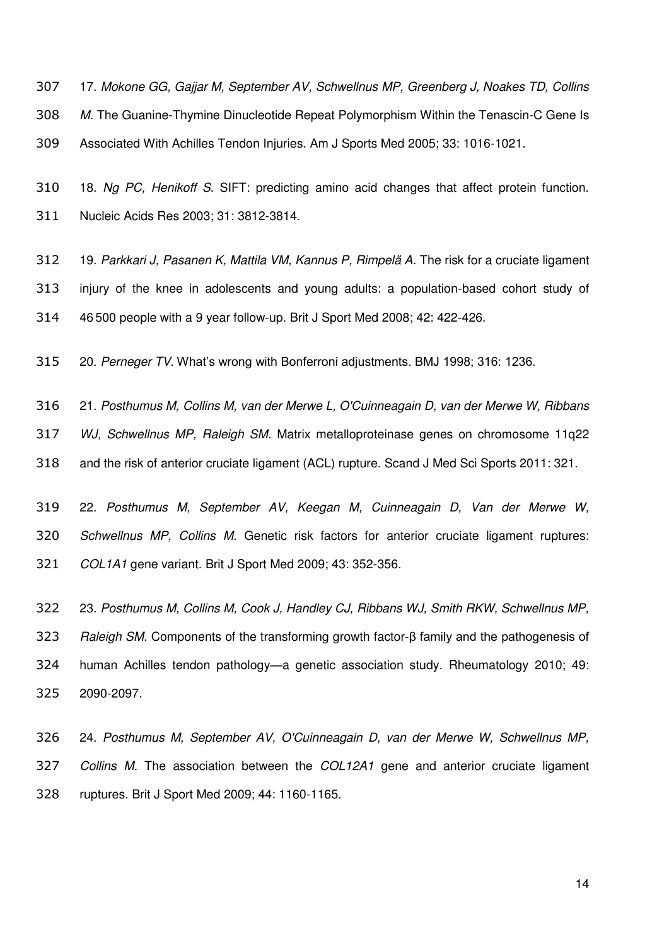17. *Mokone GG, Gajjar M, September AV, Schwellnus MP, Greenberg J, Noakes TD, Collins M.* The Guanine-Thymine Dinucleotide Repeat Polymorphism Within the Tenascin-C Gene Is Associated With Achilles Tendon Injuries. Am J Sports Med 2005; 33: 1016-1021.

 18. *Ng PC, Henikoff S*. SIFT: predicting amino acid changes that affect protein function. Nucleic Acids Res 2003; 31: 3812-3814.

 19. *Parkkari J, Pasanen K, Mattila VM, Kannus P, Rimpelä A.* The risk for a cruciate ligament injury of the knee in adolescents and young adults: a population-based cohort study of 46 500 people with a 9 year follow-up. Brit J Sport Med 2008; 42: 422-426.

20. *Perneger TV*. What's wrong with Bonferroni adjustments. BMJ 1998; 316: 1236.

 21. *Posthumus M, Collins M, van der Merwe L, O'Cuinneagain D, van der Merwe W, Ribbans WJ, Schwellnus MP, Raleigh SM.* Matrix metalloproteinase genes on chromosome 11q22 and the risk of anterior cruciate ligament (ACL) rupture. Scand J Med Sci Sports 2011: 321.

 22. *Posthumus M, September AV, Keegan M, Cuinneagain D, Van der Merwe W, Schwellnus MP, Collins M.* Genetic risk factors for anterior cruciate ligament ruptures: *COL1A1* gene variant. Brit J Sport Med 2009; 43: 352-356.

 23. *Posthumus M, Collins M, Cook J, Handley CJ, Ribbans WJ, Smith RKW, Schwellnus MP, Raleigh SM.* Components of the transforming growth factor-β family and the pathogenesis of human Achilles tendon pathology—a genetic association study. Rheumatology 2010; 49: 2090-2097.

 24. *Posthumus M, September AV, O'Cuinneagain D, van der Merwe W, Schwellnus MP, Collins M.* The association between the *COL12A1* gene and anterior cruciate ligament ruptures. Brit J Sport Med 2009; 44: 1160-1165.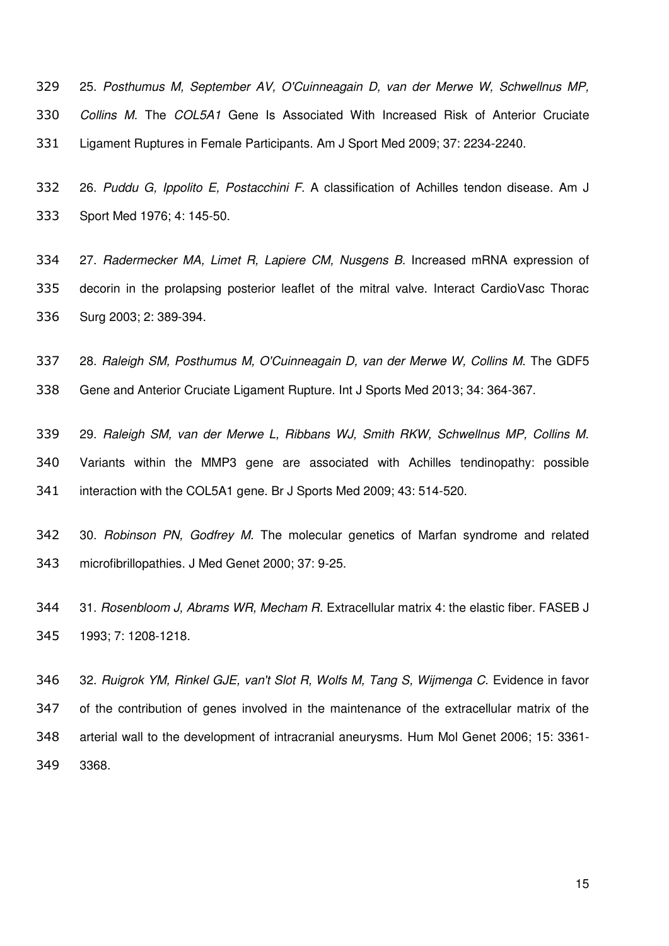25. *Posthumus M, September AV, O'Cuinneagain D, van der Merwe W, Schwellnus MP, Collins M.* The *COL5A1* Gene Is Associated With Increased Risk of Anterior Cruciate Ligament Ruptures in Female Participants. Am J Sport Med 2009; 37: 2234-2240.

 26. *Puddu G, Ippolito E, Postacchini F*. A classification of Achilles tendon disease. Am J Sport Med 1976; 4: 145-50.

 27. *Radermecker MA, Limet R, Lapiere CM, Nusgens B*. Increased mRNA expression of decorin in the prolapsing posterior leaflet of the mitral valve. Interact CardioVasc Thorac Surg 2003; 2: 389-394.

 28. *Raleigh SM, Posthumus M, O'Cuinneagain D, van der Merwe W, Collins M.* The GDF5 Gene and Anterior Cruciate Ligament Rupture. Int J Sports Med 2013; 34: 364-367.

 29. *Raleigh SM, van der Merwe L, Ribbans WJ, Smith RKW, Schwellnus MP, Collins M*. Variants within the MMP3 gene are associated with Achilles tendinopathy: possible interaction with the COL5A1 gene. Br J Sports Med 2009; 43: 514-520.

 30. *Robinson PN, Godfrey M.* The molecular genetics of Marfan syndrome and related microfibrillopathies. J Med Genet 2000; 37: 9-25.

 31. *Rosenbloom J, Abrams WR, Mecham R*. Extracellular matrix 4: the elastic fiber. FASEB J 1993; 7: 1208-1218.

 32. *Ruigrok YM, Rinkel GJE, van't Slot R, Wolfs M, Tang S, Wijmenga C.* Evidence in favor of the contribution of genes involved in the maintenance of the extracellular matrix of the arterial wall to the development of intracranial aneurysms. Hum Mol Genet 2006; 15: 3361- 3368.